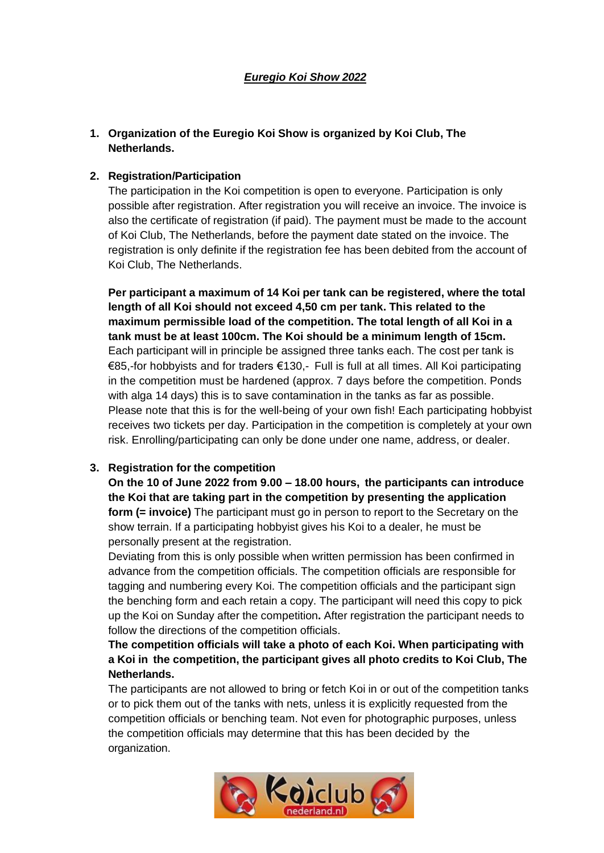# **1. Organization of the Euregio Koi Show is organized by Koi Club, The Netherlands.**

### **2. Registration/Participation**

The participation in the Koi competition is open to everyone. Participation is only possible after registration. After registration you will receive an invoice. The invoice is also the certificate of registration (if paid). The payment must be made to the account of Koi Club, The Netherlands, before the payment date stated on the invoice. The registration is only definite if the registration fee has been debited from the account of Koi Club, The Netherlands.

**Per participant a maximum of 14 Koi per tank can be registered, where the total length of all Koi should not exceed 4,50 cm per tank. This related to the maximum permissible load of the competition. The total length of all Koi in a tank must be at least 100cm. The Koi should be a minimum length of 15cm.** Each participant will in principle be assigned three tanks each. The cost per tank is €85,-for hobbyists and for traders €130,- Full is full at all times. All Koi participating in the competition must be hardened (approx. 7 days before the competition. Ponds with alga 14 days) this is to save contamination in the tanks as far as possible. Please note that this is for the well-being of your own fish! Each participating hobbyist receives two tickets per day. Participation in the competition is completely at your own risk. Enrolling/participating can only be done under one name, address, or dealer.

## **3. Registration for the competition**

**On the 10 of June 2022 from 9.00 – 18.00 hours, the participants can introduce the Koi that are taking part in the competition by presenting the application form (= invoice)** The participant must go in person to report to the Secretary on the show terrain. If a participating hobbyist gives his Koi to a dealer, he must be personally present at the registration.

Deviating from this is only possible when written permission has been confirmed in advance from the competition officials. The competition officials are responsible for tagging and numbering every Koi. The competition officials and the participant sign the benching form and each retain a copy. The participant will need this copy to pick up the Koi on Sunday after the competition**.** After registration the participant needs to follow the directions of the competition officials.

**The competition officials will take a photo of each Koi. When participating with a Koi in the competition, the participant gives all photo credits to Koi Club, The Netherlands.**

The participants are not allowed to bring or fetch Koi in or out of the competition tanks or to pick them out of the tanks with nets, unless it is explicitly requested from the competition officials or benching team. Not even for photographic purposes, unless the competition officials may determine that this has been decided by the organization.

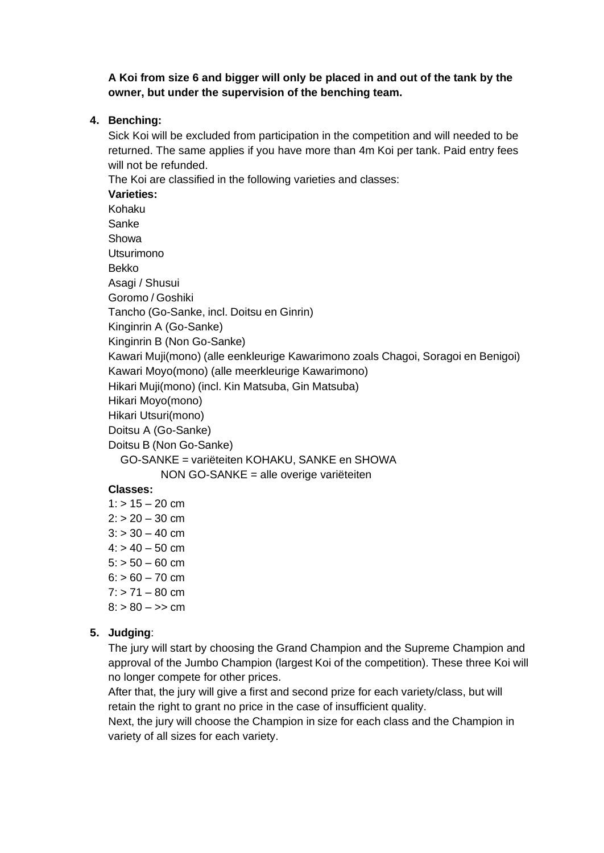**A Koi from size 6 and bigger will only be placed in and out of the tank by the owner, but under the supervision of the benching team.**

**4. Benching:**

Sick Koi will be excluded from participation in the competition and will needed to be returned. The same applies if you have more than 4m Koi per tank. Paid entry fees will not be refunded.

The Koi are classified in the following varieties and classes:

**Varieties:**

Kohaku

Sanke Showa

Utsurimono

Bekko

Asagi / Shusui

Goromo / Goshiki

Tancho (Go-Sanke, incl. Doitsu en Ginrin)

Kinginrin A (Go-Sanke)

Kinginrin B (Non Go-Sanke)

Kawari Muji(mono) (alle eenkleurige Kawarimono zoals Chagoi, Soragoi en Benigoi)

Kawari Moyo(mono) (alle meerkleurige Kawarimono)

Hikari Muji(mono) (incl. Kin Matsuba, Gin Matsuba)

Hikari Moyo(mono)

Hikari Utsuri(mono)

Doitsu A (Go-Sanke)

Doitsu B (Non Go-Sanke)

GO-SANKE = variëteiten KOHAKU, SANKE en SHOWA

NON GO-SANKE = alle overige variëteiten

#### **Classes:**

- $1:$  > 15 20 cm  $2: > 20 - 30$  cm  $3: > 30 - 40$  cm  $4: > 40 - 50$  cm  $5: > 50 - 60$  cm  $6: > 60 - 70$  cm  $7: > 71 - 80$  cm
- $8: > 80 >> cm$

## **5. Judging**:

The jury will start by choosing the Grand Champion and the Supreme Champion and approval of the Jumbo Champion (largest Koi of the competition). These three Koi will no longer compete for other prices.

After that, the jury will give a first and second prize for each variety/class, but will retain the right to grant no price in the case of insufficient quality.

Next, the jury will choose the Champion in size for each class and the Champion in variety of all sizes for each variety.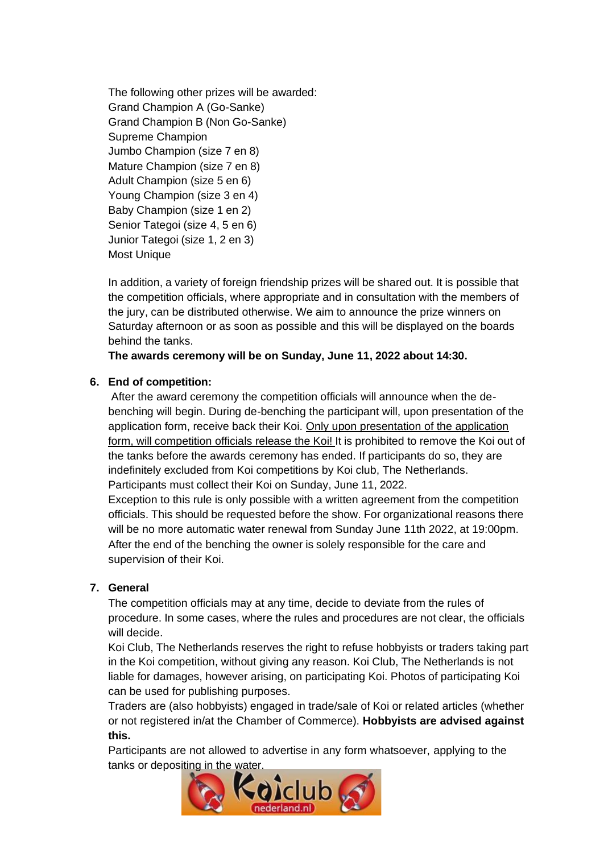The following other prizes will be awarded: Grand Champion A (Go-Sanke) Grand Champion B (Non Go-Sanke) Supreme Champion Jumbo Champion (size 7 en 8) Mature Champion (size 7 en 8) Adult Champion (size 5 en 6) Young Champion (size 3 en 4) Baby Champion (size 1 en 2) Senior Tategoi (size 4, 5 en 6) Junior Tategoi (size 1, 2 en 3) Most Unique

In addition, a variety of foreign friendship prizes will be shared out. It is possible that the competition officials, where appropriate and in consultation with the members of the jury, can be distributed otherwise. We aim to announce the prize winners on Saturday afternoon or as soon as possible and this will be displayed on the boards behind the tanks.

**The awards ceremony will be on Sunday, June 11, 2022 about 14:30.**

### **6. End of competition:**

After the award ceremony the competition officials will announce when the debenching will begin. During de-benching the participant will, upon presentation of the application form, receive back their Koi. Only upon presentation of the application form, will competition officials release the Koi! It is prohibited to remove the Koi out of the tanks before the awards ceremony has ended. If participants do so, they are indefinitely excluded from Koi competitions by Koi club, The Netherlands. Participants must collect their Koi on Sunday, June 11, 2022.

Exception to this rule is only possible with a written agreement from the competition officials. This should be requested before the show. For organizational reasons there will be no more automatic water renewal from Sunday June 11th 2022, at 19:00pm. After the end of the benching the owner is solely responsible for the care and supervision of their Koi.

#### **7. General**

The competition officials may at any time, decide to deviate from the rules of procedure. In some cases, where the rules and procedures are not clear, the officials will decide.

Koi Club, The Netherlands reserves the right to refuse hobbyists or traders taking part in the Koi competition, without giving any reason. Koi Club, The Netherlands is not liable for damages, however arising, on participating Koi. Photos of participating Koi can be used for publishing purposes.

Traders are (also hobbyists) engaged in trade/sale of Koi or related articles (whether or not registered in/at the Chamber of Commerce). **Hobbyists are advised against this.**

Participants are not allowed to advertise in any form whatsoever, applying to the tanks or depositing in the water.